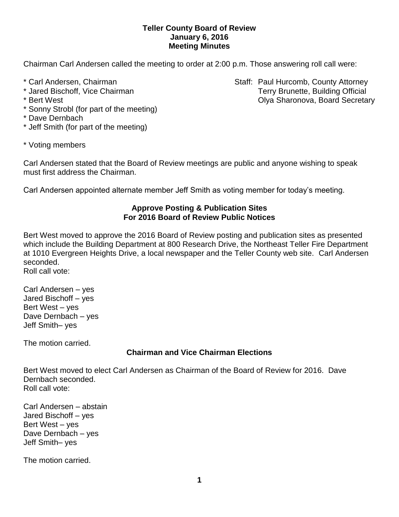### **Teller County Board of Review January 6, 2016 Meeting Minutes**

Chairman Carl Andersen called the meeting to order at 2:00 p.m. Those answering roll call were:

- 
- 
- 
- \* Sonny Strobl (for part of the meeting)
- \* Dave Dernbach
- \* Jeff Smith (for part of the meeting)

\* Carl Andersen, Chairman Staff: Paul Hurcomb, County Attorney \* Jared Bischoff, Vice Chairman Terry Brunette, Building Official \* Bert West Olya Sharonova, Board Secretary

\* Voting members

Carl Andersen stated that the Board of Review meetings are public and anyone wishing to speak must first address the Chairman.

Carl Andersen appointed alternate member Jeff Smith as voting member for today's meeting.

### **Approve Posting & Publication Sites For 2016 Board of Review Public Notices**

Bert West moved to approve the 2016 Board of Review posting and publication sites as presented which include the Building Department at 800 Research Drive, the Northeast Teller Fire Department at 1010 Evergreen Heights Drive, a local newspaper and the Teller County web site. Carl Andersen seconded.

Roll call vote:

Carl Andersen – yes Jared Bischoff – yes Bert West – yes Dave Dernbach – yes Jeff Smith– yes

The motion carried.

## **Chairman and Vice Chairman Elections**

Bert West moved to elect Carl Andersen as Chairman of the Board of Review for 2016. Dave Dernbach seconded. Roll call vote:

Carl Andersen – abstain Jared Bischoff – yes Bert West – yes Dave Dernbach – yes Jeff Smith– yes

The motion carried.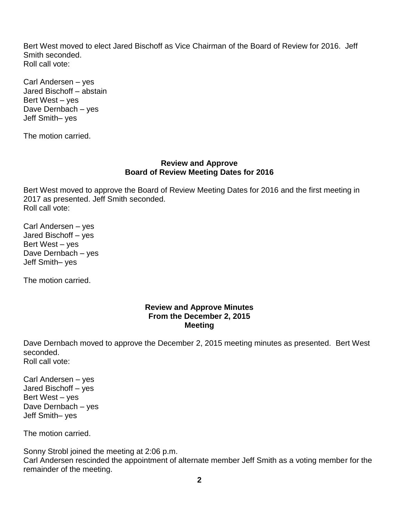Bert West moved to elect Jared Bischoff as Vice Chairman of the Board of Review for 2016. Jeff Smith seconded. Roll call vote:

Carl Andersen – yes Jared Bischoff – abstain Bert West – yes Dave Dernbach – yes Jeff Smith– yes

The motion carried.

#### **Review and Approve Board of Review Meeting Dates for 2016**

Bert West moved to approve the Board of Review Meeting Dates for 2016 and the first meeting in 2017 as presented. Jeff Smith seconded. Roll call vote:

Carl Andersen – yes Jared Bischoff – yes Bert West – yes Dave Dernbach – yes Jeff Smith– yes

The motion carried.

### **Review and Approve Minutes From the December 2, 2015 Meeting**

Dave Dernbach moved to approve the December 2, 2015 meeting minutes as presented. Bert West seconded. Roll call vote:

Carl Andersen – yes Jared Bischoff – yes Bert West – yes Dave Dernbach – yes Jeff Smith– yes

The motion carried.

Sonny Strobl joined the meeting at 2:06 p.m. Carl Andersen rescinded the appointment of alternate member Jeff Smith as a voting member for the remainder of the meeting.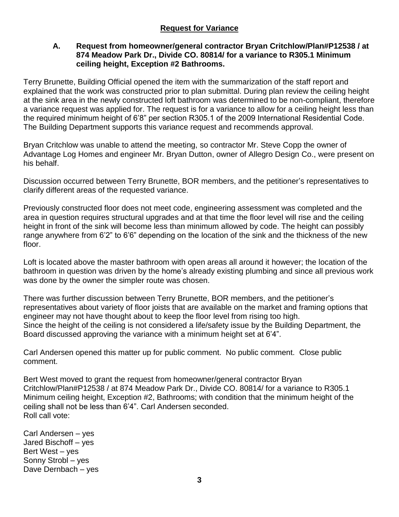### **A. Request from homeowner/general contractor Bryan Critchlow/Plan#P12538 / at 874 Meadow Park Dr., Divide CO. 80814/ for a variance to R305.1 Minimum ceiling height, Exception #2 Bathrooms.**

Terry Brunette, Building Official opened the item with the summarization of the staff report and explained that the work was constructed prior to plan submittal. During plan review the ceiling height at the sink area in the newly constructed loft bathroom was determined to be non-compliant, therefore a variance request was applied for. The request is for a variance to allow for a ceiling height less than the required minimum height of 6'8" per section R305.1 of the 2009 International Residential Code. The Building Department supports this variance request and recommends approval.

Bryan Critchlow was unable to attend the meeting, so contractor Mr. Steve Copp the owner of Advantage Log Homes and engineer Mr. Bryan Dutton, owner of Allegro Design Co., were present on his behalf.

Discussion occurred between Terry Brunette, BOR members, and the petitioner's representatives to clarify different areas of the requested variance.

Previously constructed floor does not meet code, engineering assessment was completed and the area in question requires structural upgrades and at that time the floor level will rise and the ceiling height in front of the sink will become less than minimum allowed by code. The height can possibly range anywhere from 6'2" to 6'6" depending on the location of the sink and the thickness of the new floor.

Loft is located above the master bathroom with open areas all around it however; the location of the bathroom in question was driven by the home's already existing plumbing and since all previous work was done by the owner the simpler route was chosen.

There was further discussion between Terry Brunette, BOR members, and the petitioner's representatives about variety of floor joists that are available on the market and framing options that engineer may not have thought about to keep the floor level from rising too high. Since the height of the ceiling is not considered a life/safety issue by the Building Department, the Board discussed approving the variance with a minimum height set at 6'4".

Carl Andersen opened this matter up for public comment. No public comment. Close public comment.

Bert West moved to grant the request from homeowner/general contractor Bryan Critchlow/Plan#P12538 / at 874 Meadow Park Dr., Divide CO. 80814/ for a variance to R305.1 Minimum ceiling height, Exception #2, Bathrooms; with condition that the minimum height of the ceiling shall not be less than 6'4". Carl Andersen seconded. Roll call vote:

Carl Andersen – yes Jared Bischoff – yes Bert West – yes Sonny Strobl – yes Dave Dernbach – yes